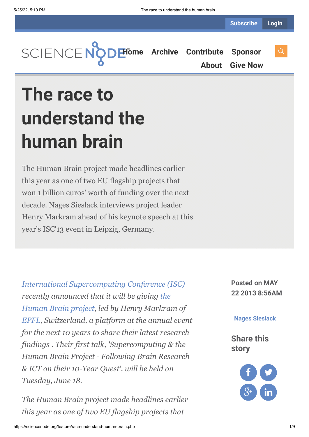

**[About](https://sciencenode.org/about/index.php) [Give Now](https://sciencenode.org/donate/index.php)**

# **The race to understand the human brain**

The Human Brain project made headlines earlier this year as one of two EU flagship projects that won 1 billion euros' worth of funding over the next decade. Nages Sieslack interviews project leader Henry Markram ahead of his keynote speech at this year's ISC'13 event in Leipzig, Germany.

*[International Supercomputing Conference \(ISC\)](http://www.isc-events.com/ct.php?id=60) recently announced that it will be giving the [Human Brain project, led by Henry Markram](http://www.humanbrainproject.eu/) of [EPFL,](http://www.epfl.ch/) Switzerland, a platform at the annual event for the next 10 years to share their latest research findings . Their first talk, 'Supercomputing & the Human Brain Project - Following Brain Research & ICT on their 10-Year Quest', will be held on Tuesday, June 18.*

*The Human Brain project made headlines earlier this year as one of two EU flagship projects that*

**Posted on MAY 22 2013 8:56AM**

#### **[Nages Sieslack](https://sciencenode.org/author/nages-sieslack.php)**

**Share this story**

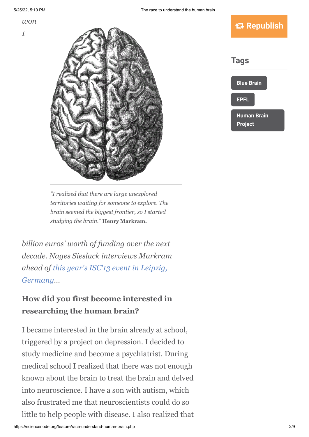*won*



*"I realized that there are large unexplored territories waiting for someone to explore. The brain seemed the biggest frontier, so I started studying the brain."* **Henry Markram.**

*billion euros' worth of funding over the next decade. Nages Sieslack interviews Markram [ahead of this year's ISC'13 event in Leipzig,](http://www.isc-events.com/ct.php?id=60) Germany...*

#### **How did you first become interested in researching the human brain?**

I became interested in the brain already at school, triggered by a project on depression. I decided to study medicine and become a psychiatrist. During medical school I realized that there was not enough known about the brain to treat the brain and delved into neuroscience. I have a son with autism, which also frustrated me that neuroscientists could do so little to help people with disease. I also realized that

### **Republish**

**[Blue Brain](https://sciencenode.org/tag/?tag=Blue%20Brain) [EPFL](https://sciencenode.org/tag/?tag=EPFL) [Human Brain](https://sciencenode.org/tag/?tag=Human%20Brain%20Project) Project Tags**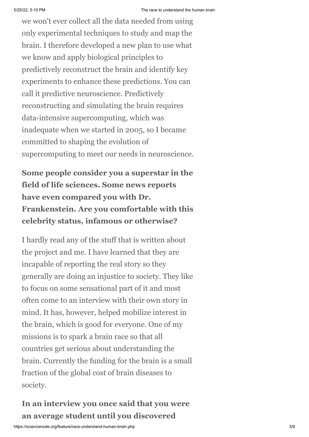we won't ever collect all the data needed from using only experimental techniques to study and map the brain. I therefore developed a new plan to use what we know and apply biological principles to predictively reconstruct the brain and identify key experiments to enhance these predictions. You can call it predictive neuroscience. Predictively reconstructing and simulating the brain requires data-intensive supercomputing, which was inadequate when we started in 2005, so I became committed to shaping the evolution of supercomputing to meet our needs in neuroscience.

**Some people consider you a superstar in the field of life sciences. Some news reports have even compared you with Dr. Frankenstein. Are you comfortable with this celebrity status, infamous or otherwise?**

I hardly read any of the stuff that is written about the project and me. I have learned that they are incapable of reporting the real story so they generally are doing an injustice to society. They like to focus on some sensational part of it and most often come to an interview with their own story in mind. It has, however, helped mobilize interest in the brain, which is good for everyone. One of my missions is to spark a brain race so that all countries get serious about understanding the brain. Currently the funding for the brain is a small fraction of the global cost of brain diseases to society.

**In an interview you once said that you were an average student until you discovered**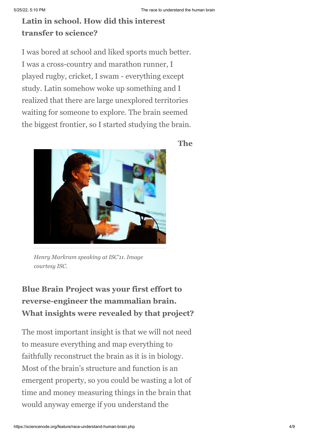### **Latin in school. How did this interest transfer to science?**

I was bored at school and liked sports much better. I was a cross-country and marathon runner, I played rugby, cricket, I swam - everything except study. Latin somehow woke up something and I realized that there are large unexplored territories waiting for someone to explore. The brain seemed the biggest frontier, so I started studying the brain.

**The**



*Henry Markram speaking at ISC'11. Image courtesy ISC.*

## **Blue Brain Project was your first effort to reverse-engineer the mammalian brain. What insights were revealed by that project?**

The most important insight is that we will not need to measure everything and map everything to faithfully reconstruct the brain as it is in biology. Most of the brain's structure and function is an emergent property, so you could be wasting a lot of time and money measuring things in the brain that would anyway emerge if you understand the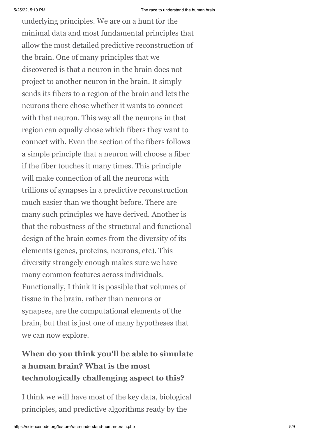5/25/22, 5:10 PM The race to understand the human brain underlying principles. We are on a hunt for the minimal data and most fundamental principles that allow the most detailed predictive reconstruction of the brain. One of many principles that we discovered is that a neuron in the brain does not project to another neuron in the brain. It simply sends its fibers to a region of the brain and lets the neurons there chose whether it wants to connect with that neuron. This way all the neurons in that region can equally chose which fibers they want to connect with. Even the section of the fibers follows a simple principle that a neuron will choose a fiber if the fiber touches it many times. This principle will make connection of all the neurons with trillions of synapses in a predictive reconstruction much easier than we thought before. There are many such principles we have derived. Another is that the robustness of the structural and functional design of the brain comes from the diversity of its elements (genes, proteins, neurons, etc). This diversity strangely enough makes sure we have many common features across individuals. Functionally, I think it is possible that volumes of tissue in the brain, rather than neurons or synapses, are the computational elements of the brain, but that is just one of many hypotheses that we can now explore.

## **When do you think you'll be able to simulate a human brain? What is the most technologically challenging aspect to this?**

I think we will have most of the key data, biological principles, and predictive algorithms ready by the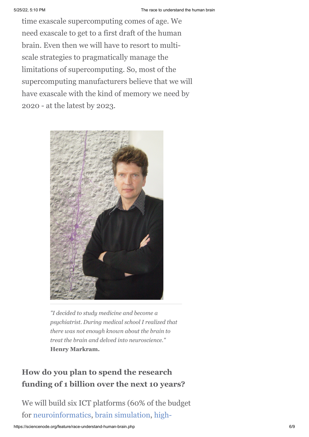time exascale supercomputing comes of age. We need exascale to get to a first draft of the human brain. Even then we will have to resort to multiscale strategies to pragmatically manage the limitations of supercomputing. So, most of the supercomputing manufacturers believe that we will have exascale with the kind of memory we need by 2020 - at the latest by 2023.



*"I decided to study medicine and become a psychiatrist. During medical school I realized that there was not enough known about the brain to treat the brain and delved into neuroscience."* **Henry Markram.**

#### **How do you plan to spend the research funding of 1 billion over the next 10 years?**

We will build six ICT platforms (60% of the budget [for](http://en.wikipedia.org/wiki/High-performance_computing) [neuroinformatics](http://en.wikipedia.org/wiki/Neuroinformatics)[, b](http://en.wikipedia.org/wiki/High-performance_computing)[rain simulation](http://en.wikipedia.org/wiki/Brain_simulation)[, high-](http://en.wikipedia.org/wiki/High-performance_computing)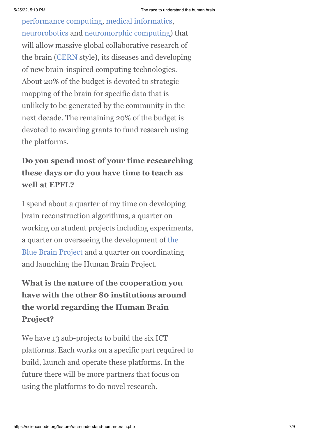[performance computing, medical informatic](http://en.wikipedia.org/wiki/High-performance_computing)[s](https://en.wikipedia.org/wiki/Health_informatics), [neurorobotics](http://en.wikipedia.org/wiki/Neurorobotics) and [neuromorphic computing\)](http://en.wikipedia.org/wiki/Neuromorphic_engineering) that will allow massive global collaborative research of the brain ([CERN](http://www.cern.ch/) style), its diseases and developing of new brain-inspired computing technologies. About 20% of the budget is devoted to strategic mapping of the brain for specific data that is unlikely to be generated by the community in the next decade. The remaining 20% of the budget is devoted to awarding grants to fund research using the platforms.

## **Do you spend most of your time researching these days or do you have time to teach as well at EPFL?**

I spend about a quarter of my time on developing brain reconstruction algorithms, a quarter on working on student projects including experiments, a quarter on overseeing the development of the [Blue Brain Project and a quarter on coordinatin](http://bluebrain.epfl.ch/)g and launching the Human Brain Project.

## **What is the nature of the cooperation you have with the other 80 institutions around the world regarding the Human Brain Project?**

We have 13 sub-projects to build the six ICT platforms. Each works on a specific part required to build, launch and operate these platforms. In the future there will be more partners that focus on using the platforms to do novel research.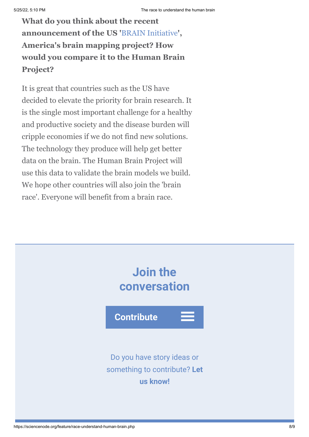## **What do you think about the recent announcement of the US '**[BRAIN Initiative](http://www.nih.gov/science/brain/)**', America's brain mapping project? How would you compare it to the Human Brain Project?**

It is great that countries such as the US have decided to elevate the priority for brain research. It is the single most important challenge for a healthy and productive society and the disease burden will cripple economies if we do not find new solutions. The technology they produce will help get better data on the brain. The Human Brain Project will use this data to validate the brain models we build. We hope other countries will also join the 'brain race'. Everyone will benefit from a brain race.